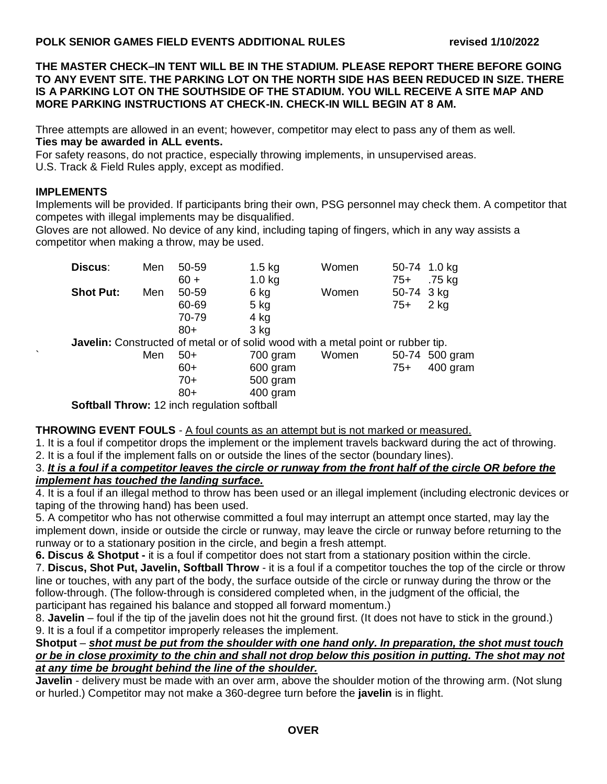**THE MASTER CHECK–IN TENT WILL BE IN THE STADIUM. PLEASE REPORT THERE BEFORE GOING TO ANY EVENT SITE. THE PARKING LOT ON THE NORTH SIDE HAS BEEN REDUCED IN SIZE. THERE IS A PARKING LOT ON THE SOUTHSIDE OF THE STADIUM. YOU WILL RECEIVE A SITE MAP AND MORE PARKING INSTRUCTIONS AT CHECK-IN. CHECK-IN WILL BEGIN AT 8 AM.**

Three attempts are allowed in an event; however, competitor may elect to pass any of them as well. **Ties may be awarded in ALL events.**

For safety reasons, do not practice, especially throwing implements, in unsupervised areas. U.S. Track & Field Rules apply, except as modified.

### **IMPLEMENTS**

Implements will be provided. If participants bring their own, PSG personnel may check them. A competitor that competes with illegal implements may be disqualified.

Gloves are not allowed. No device of any kind, including taping of fingers, which in any way assists a competitor when making a throw, may be used.

|   | Discus:                                                                          | Men                                                | 50-59  | $1.5$ kg | Women |            | 50-74 1.0 kg   |
|---|----------------------------------------------------------------------------------|----------------------------------------------------|--------|----------|-------|------------|----------------|
|   |                                                                                  |                                                    | $60 +$ | $1.0$ kg |       | $75+$      | .75 kg         |
|   | <b>Shot Put:</b>                                                                 | Men                                                | 50-59  | 6 kg     | Women | 50-74 3 kg |                |
|   |                                                                                  |                                                    | 60-69  | $5$ kg   |       | $75+$      | 2 kg           |
|   |                                                                                  |                                                    | 70-79  | 4 kg     |       |            |                |
|   |                                                                                  |                                                    | $80+$  | 3 kg     |       |            |                |
|   | Javelin: Constructed of metal or of solid wood with a metal point or rubber tip. |                                                    |        |          |       |            |                |
| ◟ |                                                                                  | Men                                                | $50+$  | 700 gram | Women |            | 50-74 500 gram |
|   |                                                                                  |                                                    | $60+$  | 600 gram |       | $75+$      | 400 gram       |
|   |                                                                                  |                                                    | $70+$  | 500 gram |       |            |                |
|   |                                                                                  |                                                    | $80+$  | 400 gram |       |            |                |
|   |                                                                                  | <b>Softball Throw: 12 inch regulation softball</b> |        |          |       |            |                |

**THROWING EVENT FOULS** - A foul counts as an attempt but is not marked or measured.

1. It is a foul if competitor drops the implement or the implement travels backward during the act of throwing. 2. It is a foul if the implement falls on or outside the lines of the sector (boundary lines).

### 3. *It is a foul if a competitor leaves the circle or runway from the front half of the circle OR before the implement has touched the landing surface.*

4. It is a foul if an illegal method to throw has been used or an illegal implement (including electronic devices or taping of the throwing hand) has been used.

5. A competitor who has not otherwise committed a foul may interrupt an attempt once started, may lay the implement down, inside or outside the circle or runway, may leave the circle or runway before returning to the runway or to a stationary position in the circle, and begin a fresh attempt.

**6. Discus & Shotput -** it is a foul if competitor does not start from a stationary position within the circle.

7. **Discus, Shot Put, Javelin, Softball Throw** - it is a foul if a competitor touches the top of the circle or throw line or touches, with any part of the body, the surface outside of the circle or runway during the throw or the follow-through. (The follow-through is considered completed when, in the judgment of the official, the participant has regained his balance and stopped all forward momentum.)

8. **Javelin** – foul if the tip of the javelin does not hit the ground first. (It does not have to stick in the ground.) 9. It is a foul if a competitor improperly releases the implement.

#### **Shotput** – *shot must be put from the shoulder with one hand only. In preparation, the shot must touch or be in close proximity to the chin and shall not drop below this position in putting. The shot may not at any time be brought behind the line of the shoulder.*

**Javelin** - delivery must be made with an over arm, above the shoulder motion of the throwing arm. (Not slung or hurled.) Competitor may not make a 360-degree turn before the **javelin** is in flight.